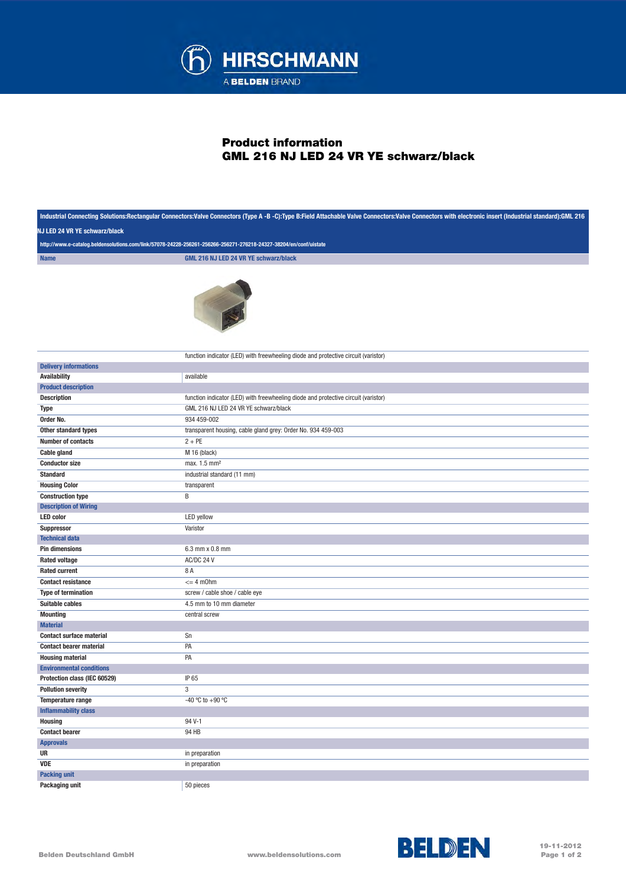

## Product information GML 216 NJ LED 24 VR YE schwarz/black

|                                                                                                                                                    | Industrial Connecting Solutions:Rectangular Connectors:Valve Connectors (Type A -B -C):Type B:Field Attachable Valve Connectors:Valve Connectors with electronic insert (Industrial standard):GML 216 |  |
|----------------------------------------------------------------------------------------------------------------------------------------------------|-------------------------------------------------------------------------------------------------------------------------------------------------------------------------------------------------------|--|
| NJ LED 24 VR YE schwarz/black<br>http://www.e-catalog.beldensolutions.com/link/57078-24228-256261-256266-256271-276218-24327-38204/en/conf/uistate |                                                                                                                                                                                                       |  |
|                                                                                                                                                    |                                                                                                                                                                                                       |  |
|                                                                                                                                                    |                                                                                                                                                                                                       |  |
|                                                                                                                                                    | function indicator (LED) with freewheeling diode and protective circuit (varistor)                                                                                                                    |  |
| <b>Delivery informations</b>                                                                                                                       |                                                                                                                                                                                                       |  |
| <b>Availability</b>                                                                                                                                | available                                                                                                                                                                                             |  |
| <b>Product description</b>                                                                                                                         |                                                                                                                                                                                                       |  |
| <b>Description</b>                                                                                                                                 | function indicator (LED) with freewheeling diode and protective circuit (varistor)                                                                                                                    |  |
| Type                                                                                                                                               | GML 216 NJ LED 24 VR YE schwarz/black                                                                                                                                                                 |  |
| Order No.                                                                                                                                          | 934 459-002                                                                                                                                                                                           |  |
| Other standard types                                                                                                                               | transparent housing, cable gland grey: Order No. 934 459-003                                                                                                                                          |  |
| <b>Number of contacts</b>                                                                                                                          | $2 + PE$                                                                                                                                                                                              |  |
| <b>Cable gland</b>                                                                                                                                 | M 16 (black)                                                                                                                                                                                          |  |
| <b>Conductor size</b>                                                                                                                              | max. 1.5 mm <sup>2</sup>                                                                                                                                                                              |  |
| <b>Standard</b>                                                                                                                                    | industrial standard (11 mm)                                                                                                                                                                           |  |
| <b>Housing Color</b>                                                                                                                               | transparent                                                                                                                                                                                           |  |
| <b>Construction type</b>                                                                                                                           | B                                                                                                                                                                                                     |  |
| <b>Description of Wiring</b>                                                                                                                       |                                                                                                                                                                                                       |  |
| <b>LED</b> color                                                                                                                                   | <b>LED</b> yellow                                                                                                                                                                                     |  |
| Suppressor<br><b>Technical data</b>                                                                                                                | Varistor                                                                                                                                                                                              |  |
| <b>Pin dimensions</b>                                                                                                                              | 6.3 mm x 0.8 mm                                                                                                                                                                                       |  |
| <b>Rated voltage</b>                                                                                                                               | AC/DC 24 V                                                                                                                                                                                            |  |
| <b>Rated current</b>                                                                                                                               | 8 A                                                                                                                                                                                                   |  |
| <b>Contact resistance</b>                                                                                                                          | $= 4$ m0hm                                                                                                                                                                                            |  |
| <b>Type of termination</b>                                                                                                                         | screw / cable shoe / cable eye                                                                                                                                                                        |  |
| Suitable cables                                                                                                                                    | 4.5 mm to 10 mm diameter                                                                                                                                                                              |  |
| <b>Mounting</b>                                                                                                                                    | central screw                                                                                                                                                                                         |  |
| <b>Material</b>                                                                                                                                    |                                                                                                                                                                                                       |  |
| <b>Contact surface material</b>                                                                                                                    | Sn                                                                                                                                                                                                    |  |
| <b>Contact bearer material</b>                                                                                                                     | PA                                                                                                                                                                                                    |  |
| <b>Housing material</b>                                                                                                                            | PA                                                                                                                                                                                                    |  |
| <b>Environmental conditions</b>                                                                                                                    |                                                                                                                                                                                                       |  |
| Protection class (IEC 60529)                                                                                                                       | IP 65                                                                                                                                                                                                 |  |
| <b>Pollution severity</b>                                                                                                                          | 3                                                                                                                                                                                                     |  |
| Temperature range                                                                                                                                  | -40 °C to +90 °C                                                                                                                                                                                      |  |
| <b>Inflammability class</b>                                                                                                                        |                                                                                                                                                                                                       |  |
| <b>Housing</b>                                                                                                                                     | 94 V-1                                                                                                                                                                                                |  |
| <b>Contact bearer</b>                                                                                                                              | 94 HB                                                                                                                                                                                                 |  |
| <b>Approvals</b>                                                                                                                                   |                                                                                                                                                                                                       |  |
| UR                                                                                                                                                 | in preparation                                                                                                                                                                                        |  |
| <b>VDE</b>                                                                                                                                         | in preparation                                                                                                                                                                                        |  |
| <b>Packing unit</b>                                                                                                                                |                                                                                                                                                                                                       |  |
| Packaging unit                                                                                                                                     | 50 pieces                                                                                                                                                                                             |  |